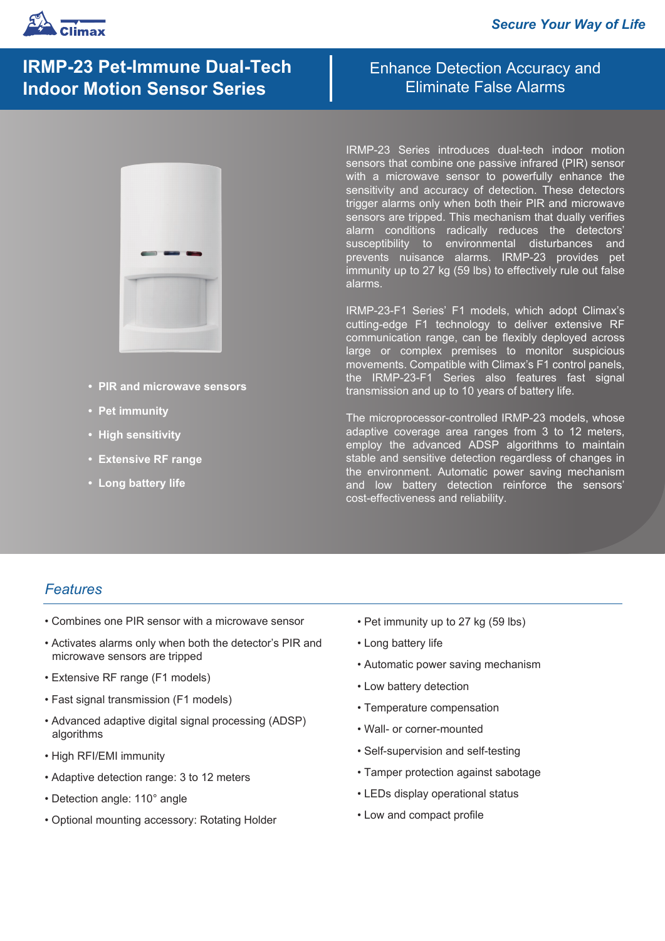

# **IRMP-23 Pet-Immune Dual-Tech Indoor Motion Sensor Series**

- **PIR and microwave sensors**
- **Pet immunity**
- **High sensitivity**
- **Extensive RF range**
- **Long battery life**

Enhance Detection Accuracy and Eliminate False Alarms

IRMP-23 Series introduces dual-tech indoor motion sensors that combine one passive infrared (PIR) sensor with a microwave sensor to powerfully enhance the sensitivity and accuracy of detection. These detectors trigger alarms only when both their PIR and microwave sensors are tripped. This mechanism that dually verifies alarm conditions radically reduces the detectors' susceptibility to environmental disturbances and prevents nuisance alarms. IRMP-23 provides pet immunity up to 27 kg (59 lbs) to effectively rule out false alarms.

IRMP-23-F1 Series' F1 models, which adopt Climax's cutting-edge F1 technology to deliver extensive RF communication range, can be flexibly deployed across large or complex premises to monitor suspicious movements. Compatible with Climax's F1 control panels, the IRMP-23-F1 Series also features fast signal transmission and up to 10 years of battery life.

The microprocessor-controlled IRMP-23 models, whose adaptive coverage area ranges from 3 to 12 meters, employ the advanced ADSP algorithms to maintain stable and sensitive detection regardless of changes in the environment. Automatic power saving mechanism and low battery detection reinforce the sensors' cost-effectiveness and reliability.

### *Features*

- Combines one PIR sensor with a microwave sensor
- Activates alarms only when both the detector's PIR and microwave sensors are tripped
- Extensive RF range (F1 models)
- Fast signal transmission (F1 models)
- Advanced adaptive digital signal processing (ADSP) algorithms
- High RFI/EMI immunity
- Adaptive detection range: 3 to 12 meters
- Detection angle: 110° angle
- Optional mounting accessory: Rotating Holder
- Pet immunity up to 27 kg (59 lbs)
- Long battery life
- Automatic power saving mechanism
- Low battery detection
- Temperature compensation
- Wall- or corner-mounted
- Self-supervision and self-testing
- Tamper protection against sabotage
- LEDs display operational status
- Low and compact profile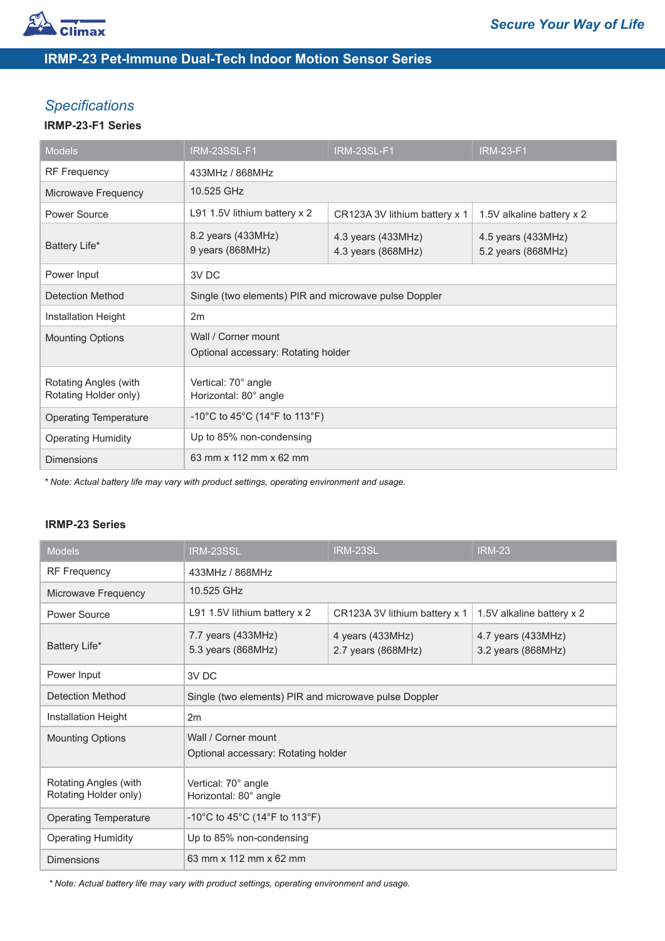

# **IRMP-23 Pet-Immune Dual-Tech Indoor Motion Sensor Series**

## *Specifications*

#### **IRMP-23-F1 Series**

| <b>Models</b>                                  | IRM-23SSL-F1                                               | <b>IRM-23SL-F1</b>                       | <b>IRM-23-F1</b>                         |
|------------------------------------------------|------------------------------------------------------------|------------------------------------------|------------------------------------------|
| <b>RF Frequency</b>                            | 433MHz / 868MHz                                            |                                          |                                          |
| Microwave Frequency                            | 10.525 GHz                                                 |                                          |                                          |
| Power Source                                   | L91 1.5V lithium battery x 2                               | CR123A 3V lithium battery x 1            | 1.5V alkaline battery x 2                |
| Battery Life*                                  | 8.2 years (433MHz)<br>9 years (868MHz)                     | 4.3 years (433MHz)<br>4.3 years (868MHz) | 4.5 years (433MHz)<br>5.2 years (868MHz) |
| Power Input                                    | 3V DC                                                      |                                          |                                          |
| Detection Method                               | Single (two elements) PIR and microwave pulse Doppler      |                                          |                                          |
| Installation Height                            | 2m                                                         |                                          |                                          |
| <b>Mounting Options</b>                        | Wall / Corner mount<br>Optional accessary: Rotating holder |                                          |                                          |
| Rotating Angles (with<br>Rotating Holder only) | Vertical: 70° angle<br>Horizontal: 80° angle               |                                          |                                          |
| <b>Operating Temperature</b>                   | -10°C to 45°C (14°F to 113°F)                              |                                          |                                          |
| <b>Operating Humidity</b>                      | Up to 85% non-condensing                                   |                                          |                                          |
| <b>Dimensions</b>                              | 63 mm x 112 mm x 62 mm                                     |                                          |                                          |

*\* Note: Actual battery life may vary with product settings, operating environment and usage.*

#### **IRMP-23 Series**

| <b>Models</b>                                  | $IRM-23S\overline{SL}$                                     | IRM-23SL                               | <b>IRM-23</b>                              |
|------------------------------------------------|------------------------------------------------------------|----------------------------------------|--------------------------------------------|
| <b>RF Frequency</b>                            | 433MHz / 868MHz                                            |                                        |                                            |
| Microwave Frequency                            | 10.525 GHz                                                 |                                        |                                            |
| Power Source                                   | L91 1.5V lithium battery x 2                               | CR123A 3V lithium battery x 1          | 1.5V alkaline battery x 2                  |
| Battery Life*                                  | 7.7 years (433MHz)<br>5.3 years (868MHz)                   | 4 years (433MHz)<br>2.7 years (868MHz) | 4.7 years $(433MHz)$<br>3.2 years (868MHz) |
| Power Input                                    | 3V DC                                                      |                                        |                                            |
| Detection Method                               | Single (two elements) PIR and microwave pulse Doppler      |                                        |                                            |
| Installation Height                            | 2m                                                         |                                        |                                            |
| <b>Mounting Options</b>                        | Wall / Corner mount<br>Optional accessary: Rotating holder |                                        |                                            |
| Rotating Angles (with<br>Rotating Holder only) | Vertical: 70° angle<br>Horizontal: 80° angle               |                                        |                                            |
| <b>Operating Temperature</b>                   | -10°C to 45°C (14°F to 113°F)                              |                                        |                                            |
| <b>Operating Humidity</b>                      | Up to 85% non-condensing                                   |                                        |                                            |
| <b>Dimensions</b>                              | 63 mm x 112 mm x 62 mm                                     |                                        |                                            |

*\* Note: Actual battery life may vary with product settings, operating environment and usage.*